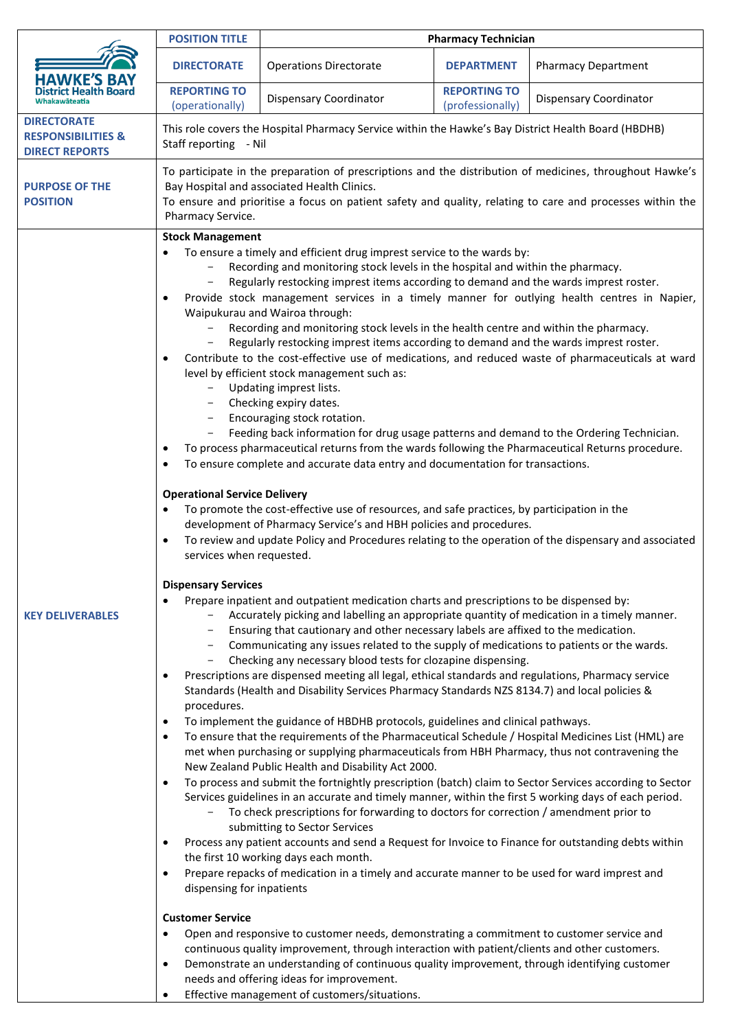|                                                                              | <b>POSITION TITLE</b>                                                                                                                                                                                                                                                                                                                                                                                                                                                                                                                                                                                                                                                                                                                                                                                                                                                                                                                                                                                                                                                                                                                                                                                                                                                                                                                                                                                                                                                                                                                                                                                                                                                                                                                                                                                                                                                                                                                                                                                                                                                                                                                                                                                                                                                                                                                                                                                                                                                                                                                                                                                                                                                                                                                                                                                                                                                                                                                                                                                                                                                                                                                                                                                                                                                                                                                                                                                                                                                                                                                                                               | <b>Pharmacy Technician</b>    |                                         |                               |  |
|------------------------------------------------------------------------------|-------------------------------------------------------------------------------------------------------------------------------------------------------------------------------------------------------------------------------------------------------------------------------------------------------------------------------------------------------------------------------------------------------------------------------------------------------------------------------------------------------------------------------------------------------------------------------------------------------------------------------------------------------------------------------------------------------------------------------------------------------------------------------------------------------------------------------------------------------------------------------------------------------------------------------------------------------------------------------------------------------------------------------------------------------------------------------------------------------------------------------------------------------------------------------------------------------------------------------------------------------------------------------------------------------------------------------------------------------------------------------------------------------------------------------------------------------------------------------------------------------------------------------------------------------------------------------------------------------------------------------------------------------------------------------------------------------------------------------------------------------------------------------------------------------------------------------------------------------------------------------------------------------------------------------------------------------------------------------------------------------------------------------------------------------------------------------------------------------------------------------------------------------------------------------------------------------------------------------------------------------------------------------------------------------------------------------------------------------------------------------------------------------------------------------------------------------------------------------------------------------------------------------------------------------------------------------------------------------------------------------------------------------------------------------------------------------------------------------------------------------------------------------------------------------------------------------------------------------------------------------------------------------------------------------------------------------------------------------------------------------------------------------------------------------------------------------------------------------------------------------------------------------------------------------------------------------------------------------------------------------------------------------------------------------------------------------------------------------------------------------------------------------------------------------------------------------------------------------------------------------------------------------------------------------------------------------------|-------------------------------|-----------------------------------------|-------------------------------|--|
|                                                                              | <b>DIRECTORATE</b>                                                                                                                                                                                                                                                                                                                                                                                                                                                                                                                                                                                                                                                                                                                                                                                                                                                                                                                                                                                                                                                                                                                                                                                                                                                                                                                                                                                                                                                                                                                                                                                                                                                                                                                                                                                                                                                                                                                                                                                                                                                                                                                                                                                                                                                                                                                                                                                                                                                                                                                                                                                                                                                                                                                                                                                                                                                                                                                                                                                                                                                                                                                                                                                                                                                                                                                                                                                                                                                                                                                                                                  | <b>Operations Directorate</b> | <b>DEPARTMENT</b>                       | <b>Pharmacy Department</b>    |  |
|                                                                              | <b>REPORTING TO</b><br>(operationally)                                                                                                                                                                                                                                                                                                                                                                                                                                                                                                                                                                                                                                                                                                                                                                                                                                                                                                                                                                                                                                                                                                                                                                                                                                                                                                                                                                                                                                                                                                                                                                                                                                                                                                                                                                                                                                                                                                                                                                                                                                                                                                                                                                                                                                                                                                                                                                                                                                                                                                                                                                                                                                                                                                                                                                                                                                                                                                                                                                                                                                                                                                                                                                                                                                                                                                                                                                                                                                                                                                                                              | <b>Dispensary Coordinator</b> | <b>REPORTING TO</b><br>(professionally) | <b>Dispensary Coordinator</b> |  |
| <b>DIRECTORATE</b><br><b>RESPONSIBILITIES &amp;</b><br><b>DIRECT REPORTS</b> | This role covers the Hospital Pharmacy Service within the Hawke's Bay District Health Board (HBDHB)<br>Staff reporting - Nil                                                                                                                                                                                                                                                                                                                                                                                                                                                                                                                                                                                                                                                                                                                                                                                                                                                                                                                                                                                                                                                                                                                                                                                                                                                                                                                                                                                                                                                                                                                                                                                                                                                                                                                                                                                                                                                                                                                                                                                                                                                                                                                                                                                                                                                                                                                                                                                                                                                                                                                                                                                                                                                                                                                                                                                                                                                                                                                                                                                                                                                                                                                                                                                                                                                                                                                                                                                                                                                        |                               |                                         |                               |  |
| <b>PURPOSE OF THE</b><br><b>POSITION</b>                                     | To participate in the preparation of prescriptions and the distribution of medicines, throughout Hawke's<br>Bay Hospital and associated Health Clinics.<br>To ensure and prioritise a focus on patient safety and quality, relating to care and processes within the<br>Pharmacy Service.                                                                                                                                                                                                                                                                                                                                                                                                                                                                                                                                                                                                                                                                                                                                                                                                                                                                                                                                                                                                                                                                                                                                                                                                                                                                                                                                                                                                                                                                                                                                                                                                                                                                                                                                                                                                                                                                                                                                                                                                                                                                                                                                                                                                                                                                                                                                                                                                                                                                                                                                                                                                                                                                                                                                                                                                                                                                                                                                                                                                                                                                                                                                                                                                                                                                                           |                               |                                         |                               |  |
| <b>KEY DELIVERABLES</b>                                                      | <b>Stock Management</b><br>To ensure a timely and efficient drug imprest service to the wards by:<br>Recording and monitoring stock levels in the hospital and within the pharmacy.<br>Regularly restocking imprest items according to demand and the wards imprest roster.<br>Provide stock management services in a timely manner for outlying health centres in Napier,<br>٠<br>Waipukurau and Wairoa through:<br>Recording and monitoring stock levels in the health centre and within the pharmacy.<br>Regularly restocking imprest items according to demand and the wards imprest roster.<br>Contribute to the cost-effective use of medications, and reduced waste of pharmaceuticals at ward<br>$\bullet$<br>level by efficient stock management such as:<br>Updating imprest lists.<br>Checking expiry dates.<br>Encouraging stock rotation.<br>Feeding back information for drug usage patterns and demand to the Ordering Technician.<br>To process pharmaceutical returns from the wards following the Pharmaceutical Returns procedure.<br>To ensure complete and accurate data entry and documentation for transactions.<br><b>Operational Service Delivery</b><br>To promote the cost-effective use of resources, and safe practices, by participation in the<br>development of Pharmacy Service's and HBH policies and procedures.<br>To review and update Policy and Procedures relating to the operation of the dispensary and associated<br>$\bullet$<br>services when requested.<br><b>Dispensary Services</b><br>Prepare inpatient and outpatient medication charts and prescriptions to be dispensed by:<br>Accurately picking and labelling an appropriate quantity of medication in a timely manner.<br>Ensuring that cautionary and other necessary labels are affixed to the medication.<br>Communicating any issues related to the supply of medications to patients or the wards.<br>Checking any necessary blood tests for clozapine dispensing.<br>Prescriptions are dispensed meeting all legal, ethical standards and regulations, Pharmacy service<br>٠<br>Standards (Health and Disability Services Pharmacy Standards NZS 8134.7) and local policies &<br>procedures.<br>To implement the guidance of HBDHB protocols, guidelines and clinical pathways.<br>٠<br>To ensure that the requirements of the Pharmaceutical Schedule / Hospital Medicines List (HML) are<br>$\bullet$<br>met when purchasing or supplying pharmaceuticals from HBH Pharmacy, thus not contravening the<br>New Zealand Public Health and Disability Act 2000.<br>To process and submit the fortnightly prescription (batch) claim to Sector Services according to Sector<br>$\bullet$<br>Services guidelines in an accurate and timely manner, within the first 5 working days of each period.<br>To check prescriptions for forwarding to doctors for correction / amendment prior to<br>submitting to Sector Services<br>Process any patient accounts and send a Request for Invoice to Finance for outstanding debts within<br>$\bullet$<br>the first 10 working days each month.<br>Prepare repacks of medication in a timely and accurate manner to be used for ward imprest and<br>$\bullet$<br>dispensing for inpatients<br><b>Customer Service</b><br>Open and responsive to customer needs, demonstrating a commitment to customer service and<br>continuous quality improvement, through interaction with patient/clients and other customers.<br>Demonstrate an understanding of continuous quality improvement, through identifying customer<br>$\bullet$ |                               |                                         |                               |  |

• Effective management of customers/situations.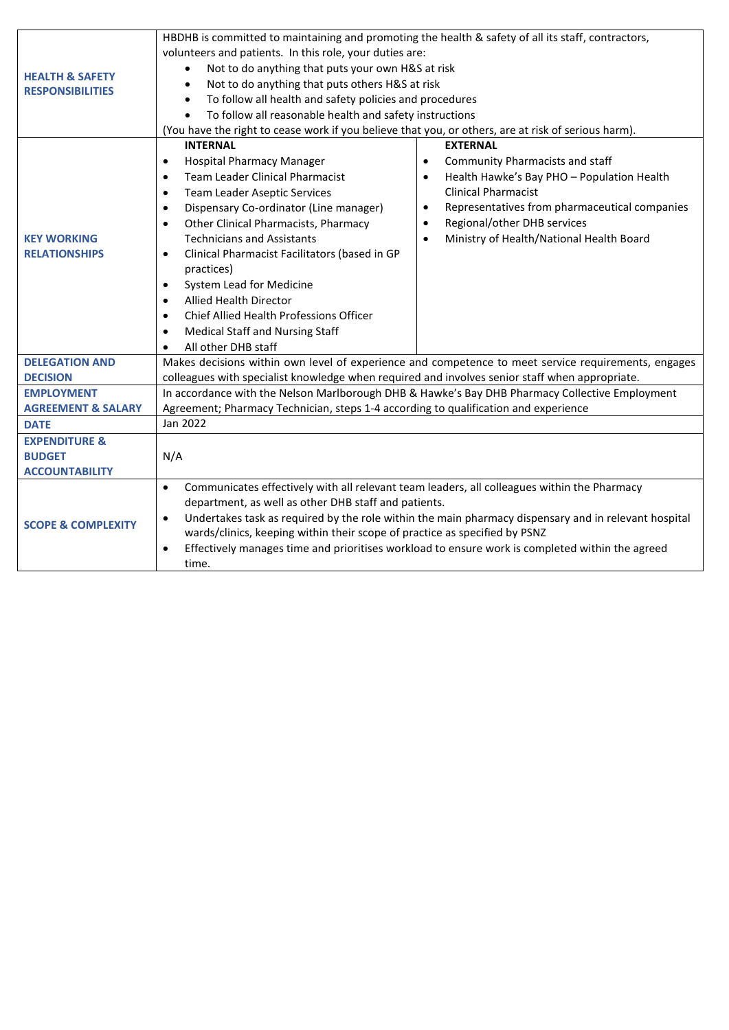|                                                       | HBDHB is committed to maintaining and promoting the health & safety of all its staff, contractors,                |                                               |  |  |  |
|-------------------------------------------------------|-------------------------------------------------------------------------------------------------------------------|-----------------------------------------------|--|--|--|
| <b>HEALTH &amp; SAFETY</b><br><b>RESPONSIBILITIES</b> | volunteers and patients. In this role, your duties are:                                                           |                                               |  |  |  |
|                                                       | Not to do anything that puts your own H&S at risk                                                                 |                                               |  |  |  |
|                                                       | Not to do anything that puts others H&S at risk<br>$\bullet$                                                      |                                               |  |  |  |
|                                                       | To follow all health and safety policies and procedures<br>$\bullet$                                              |                                               |  |  |  |
|                                                       | To follow all reasonable health and safety instructions<br>$\bullet$                                              |                                               |  |  |  |
|                                                       | (You have the right to cease work if you believe that you, or others, are at risk of serious harm).               |                                               |  |  |  |
|                                                       | <b>INTERNAL</b>                                                                                                   | <b>EXTERNAL</b>                               |  |  |  |
| <b>KEY WORKING</b><br><b>RELATIONSHIPS</b>            | <b>Hospital Pharmacy Manager</b><br>$\bullet$<br>$\bullet$                                                        | Community Pharmacists and staff               |  |  |  |
|                                                       | Team Leader Clinical Pharmacist<br>$\bullet$<br>$\bullet$                                                         | Health Hawke's Bay PHO - Population Health    |  |  |  |
|                                                       | <b>Team Leader Aseptic Services</b><br>$\bullet$                                                                  | <b>Clinical Pharmacist</b>                    |  |  |  |
|                                                       | Dispensary Co-ordinator (Line manager)<br>$\bullet$<br>$\bullet$                                                  | Representatives from pharmaceutical companies |  |  |  |
|                                                       | Other Clinical Pharmacists, Pharmacy<br>$\bullet$<br>$\bullet$                                                    | Regional/other DHB services                   |  |  |  |
|                                                       | <b>Technicians and Assistants</b><br>$\bullet$                                                                    | Ministry of Health/National Health Board      |  |  |  |
|                                                       | Clinical Pharmacist Facilitators (based in GP<br>$\bullet$                                                        |                                               |  |  |  |
|                                                       | practices)                                                                                                        |                                               |  |  |  |
|                                                       | System Lead for Medicine<br>$\bullet$                                                                             |                                               |  |  |  |
|                                                       | <b>Allied Health Director</b><br>$\bullet$                                                                        |                                               |  |  |  |
|                                                       | Chief Allied Health Professions Officer<br>$\bullet$                                                              |                                               |  |  |  |
|                                                       | <b>Medical Staff and Nursing Staff</b><br>$\bullet$                                                               |                                               |  |  |  |
|                                                       | All other DHB staff<br>$\bullet$                                                                                  |                                               |  |  |  |
| <b>DELEGATION AND</b>                                 | Makes decisions within own level of experience and competence to meet service requirements, engages               |                                               |  |  |  |
| <b>DECISION</b>                                       | colleagues with specialist knowledge when required and involves senior staff when appropriate.                    |                                               |  |  |  |
| <b>EMPLOYMENT</b>                                     | In accordance with the Nelson Marlborough DHB & Hawke's Bay DHB Pharmacy Collective Employment                    |                                               |  |  |  |
| <b>AGREEMENT &amp; SALARY</b>                         | Agreement; Pharmacy Technician, steps 1-4 according to qualification and experience                               |                                               |  |  |  |
| <b>DATE</b>                                           | Jan 2022                                                                                                          |                                               |  |  |  |
| <b>EXPENDITURE &amp;</b>                              |                                                                                                                   |                                               |  |  |  |
| <b>BUDGET</b>                                         | N/A                                                                                                               |                                               |  |  |  |
| <b>ACCOUNTABILITY</b>                                 |                                                                                                                   |                                               |  |  |  |
| <b>SCOPE &amp; COMPLEXITY</b>                         | Communicates effectively with all relevant team leaders, all colleagues within the Pharmacy<br>$\bullet$          |                                               |  |  |  |
|                                                       | department, as well as other DHB staff and patients.                                                              |                                               |  |  |  |
|                                                       | Undertakes task as required by the role within the main pharmacy dispensary and in relevant hospital<br>$\bullet$ |                                               |  |  |  |
|                                                       | wards/clinics, keeping within their scope of practice as specified by PSNZ                                        |                                               |  |  |  |
|                                                       | Effectively manages time and prioritises workload to ensure work is completed within the agreed<br>$\bullet$      |                                               |  |  |  |
|                                                       | time.                                                                                                             |                                               |  |  |  |